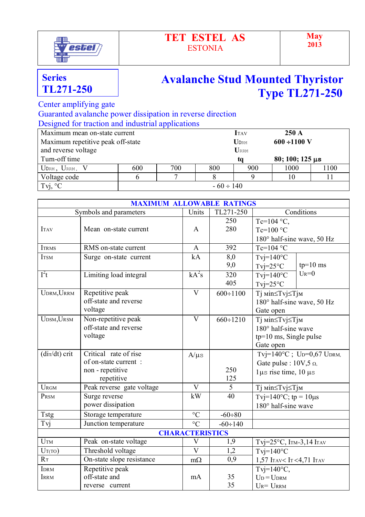

## **TET ESTEL AS** ESTONIA

## **Avalanche Stud Mounted Thyristor Type TL271-250**

Center amplifying gate

 Guaranted avalanche power dissipation in reverse direction Designed for traction and industrial applications

| Maximum mean on-state current             |                | <b>I</b> TAV | $250 \text{ A}$ |                              |      |                |  |
|-------------------------------------------|----------------|--------------|-----------------|------------------------------|------|----------------|--|
| Maximum repetitive peak off-state         |                |              |                 | <b>UDRM</b>                  |      | $600 + 1100$ V |  |
| and reverse voltage                       | URRM           |              |                 |                              |      |                |  |
| Turn-off time                             |                |              |                 | $80; 100; 125 \,\mu s$<br>ta |      |                |  |
| $U_{\text{DRM}}$ , $U_{\text{RRM}}$ , $V$ | 600            | 700          | 800             | 900                          | 1000 | 1100           |  |
| Voltage code                              |                |              |                 |                              | 10   |                |  |
| Tvj, $\mathrm{C}^{\circ}$                 | $-60 \div 140$ |              |                 |                              |      |                |  |

|                            | <b>MAXIMUM ALLOWABLE RATINGS</b>                                                |                         |                                |                                                                                              |            |  |  |
|----------------------------|---------------------------------------------------------------------------------|-------------------------|--------------------------------|----------------------------------------------------------------------------------------------|------------|--|--|
|                            | Symbols and parameters                                                          | Units                   | $\overline{\text{TL}}$ 271-250 | Conditions                                                                                   |            |  |  |
| <b>ITAV</b>                | Mean on-state current                                                           |                         | 250<br>280                     | Tc=104 $^{\circ}$ C,<br>$Tc=100 °C$<br>180° half-sine wave, 50 Hz                            |            |  |  |
| <b>ITRMS</b>               | RMS on-state current                                                            | $\mathbf{A}$            | 392                            | $Tc=104$ °C                                                                                  |            |  |  |
| <b>ITSM</b>                | Surge on-state current                                                          | kA                      | 8,0<br>9,0                     | $T$ vj=140 $\degree$ C<br>$Tvi = 25^{\circ}C$                                                | $tp=10$ ms |  |  |
| $I^2t$                     | Limiting load integral                                                          | $kA^2s$                 | 320<br>405                     | $T$ vj=140°C<br>$Tvj=25°C$                                                                   | $U_R = 0$  |  |  |
| UDRM, URRM                 | Repetitive peak<br>off-state and reverse<br>voltage                             | $\overline{V}$          | $600 \div 1100$                | Ті міn≤Тvj≤Тјм<br>180° half-sine wave, 50 Hz<br>Gate open                                    |            |  |  |
| UDSM, URSM                 | Non-repetitive peak<br>off-state and reverse<br>voltage                         | $\overline{\rm V}$      | $660 \div 1210$                | Ті міn≤Тvj≤Тјм<br>$180^\circ$ half-sine wave<br>$tp=10$ ms, Single pulse<br>Gate open        |            |  |  |
| $\frac{di\tau}{dt}$ crit   | Critical rate of rise<br>of on-state current:<br>non - repetitive<br>repetitive | $A/\mu s$               | 250<br>125                     | Tvj=140°C; Up=0,67 UpRM,<br>Gate pulse : $10V, 5 \Omega$ ,<br>$1\mu s$ rise time, $10 \mu s$ |            |  |  |
| <b>URGM</b>                | Peak reverse gate voltage                                                       | $\overline{\mathsf{V}}$ | 5                              | Тј міn≤Тvj≤Тјм                                                                               |            |  |  |
| PRSM                       | Surge reverse<br>power dissipation                                              | kW                      | 40                             | Tvj=140°C; tp = $10\mu s$<br>$180^\circ$ half-sine wave                                      |            |  |  |
| Tstg                       | Storage temperature                                                             | $\rm ^{\circ}C$         | $-60 \div 80$                  |                                                                                              |            |  |  |
| Tvj                        | Junction temperature                                                            | $\rm ^{\circ}C$         | $-60 \div 140$                 |                                                                                              |            |  |  |
| <b>CHARACTERISTICS</b>     |                                                                                 |                         |                                |                                                                                              |            |  |  |
| UTM                        | Peak on-state voltage                                                           | $\mathbf V$             | 1,9                            | Tvj= $25^{\circ}$ C, ITM= $3,14$ ITAV                                                        |            |  |  |
| $U_T(TO)$                  | Threshold voltage                                                               | $\overline{V}$          | 1,2                            | $T$ vj=140°C                                                                                 |            |  |  |
| $R_{\text{T}}$             | On-state slope resistance                                                       | $m\Omega$               | $\overline{0,9}$               | 1,57 ITAV< IT<4,71 ITAV                                                                      |            |  |  |
| <b>IDRM</b><br><b>IRRM</b> | Repetitive peak<br>off-state and<br>reverse current                             | mA                      | 35<br>35                       | Tvj=140 $\degree$ C,<br>$U_D = U_{DRM}$<br>$U_R = U_{RRM}$                                   |            |  |  |